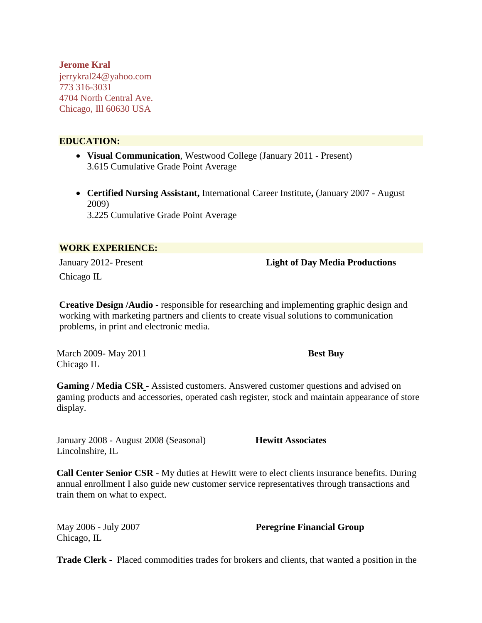**Jerome Kral** jerrykral24@yahoo.com 773 316-3031 4704 North Central Ave. Chicago, Ill 60630 USA

## **EDUCATION:**

- **Visual Communication**, Westwood College (January 2011 Present) 3.615 Cumulative Grade Point Average
- **Certified Nursing Assistant,** International Career Institute**,** (January 2007 August 2009) 3.225 Cumulative Grade Point Average

## **WORK EXPERIENCE:**

Chicago IL

January 2012- Present **Light of Day Media Productions** 

**Creative Design /Audio** - responsible for researching and implementing graphic design and working with marketing partners and clients to create visual solutions to communication problems, in print and electronic media.

March 2009- May 2011 **Best Buy**  Chicago IL

**Gaming / Media CSR** - Assisted customers. Answered customer questions and advised on gaming products and accessories, operated cash register, stock and maintain appearance of store display.

January 2008 - August 2008 (Seasonal) **Hewitt Associates** Lincolnshire, IL

**Call Center Senior CSR -** My duties at Hewitt were to elect clients insurance benefits. During annual enrollment I also guide new customer service representatives through transactions and train them on what to expect.

Chicago, IL

May 2006 - July 2007 **Peregrine Financial Group**

**Trade Clerk -** Placed commodities trades for brokers and clients, that wanted a position in the